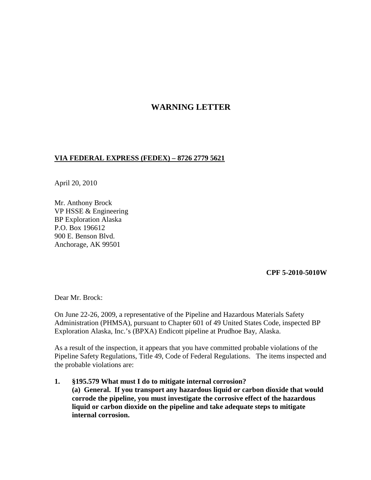## **WARNING LETTER**

## **VIA FEDERAL EXPRESS (FEDEX) – 8726 2779 5621**

April 20, 2010

Mr. Anthony Brock VP HSSE & Engineering BP Exploration Alaska P.O. Box 196612 900 E. Benson Blvd. Anchorage, AK 99501

## **CPF 5-2010-5010W**

Dear Mr. Brock:

On June 22-26, 2009, a representative of the Pipeline and Hazardous Materials Safety Administration (PHMSA), pursuant to Chapter 601 of 49 United States Code, inspected BP Exploration Alaska, Inc.'s (BPXA) Endicott pipeline at Prudhoe Bay, Alaska.

As a result of the inspection, it appears that you have committed probable violations of the Pipeline Safety Regulations, Title 49, Code of Federal Regulations. The items inspected and the probable violations are:

**1. §195.579 What must I do to mitigate internal corrosion? (a) General. If you transport any hazardous liquid or carbon dioxide that would corrode the pipeline, you must investigate the corrosive effect of the hazardous liquid or carbon dioxide on the pipeline and take adequate steps to mitigate internal corrosion.**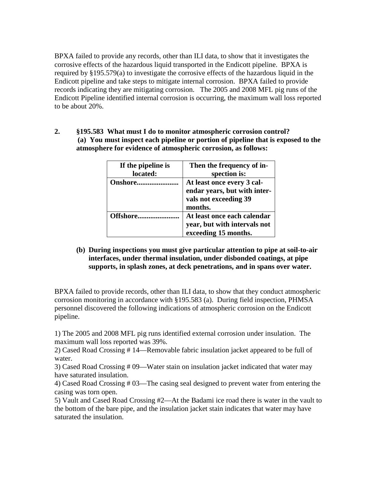BPXA failed to provide any records, other than ILI data, to show that it investigates the corrosive effects of the hazardous liquid transported in the Endicott pipeline. BPXA is required by §195.579(a) to investigate the corrosive effects of the hazardous liquid in the Endicott pipeline and take steps to mitigate internal corrosion. BPXA failed to provide records indicating they are mitigating corrosion. The 2005 and 2008 MFL pig runs of the Endicott Pipeline identified internal corrosion is occurring, the maximum wall loss reported to be about 20%.

**2. §195.583 What must I do to monitor atmospheric corrosion control? (a) You must inspect each pipeline or portion of pipeline that is exposed to the atmosphere for evidence of atmospheric corrosion, as follows:**

| If the pipeline is<br>located: | Then the frequency of in-<br>spection is:                                                      |
|--------------------------------|------------------------------------------------------------------------------------------------|
| <b>Onshore</b>                 | At least once every 3 cal-<br>endar years, but with inter-<br>vals not exceeding 39<br>months. |
| Offshore                       | At least once each calendar<br>year, but with intervals not<br>exceeding 15 months.            |

**(b) During inspections you must give particular attention to pipe at soil-to-air interfaces, under thermal insulation, under disbonded coatings, at pipe supports, in splash zones, at deck penetrations, and in spans over water.**

BPXA failed to provide records, other than ILI data, to show that they conduct atmospheric corrosion monitoring in accordance with §195.583 (a). During field inspection, PHMSA personnel discovered the following indications of atmospheric corrosion on the Endicott pipeline.

1) The 2005 and 2008 MFL pig runs identified external corrosion under insulation. The maximum wall loss reported was 39%.

2) Cased Road Crossing # 14—Removable fabric insulation jacket appeared to be full of water.

3) Cased Road Crossing # 09—Water stain on insulation jacket indicated that water may have saturated insulation.

4) Cased Road Crossing # 03—The casing seal designed to prevent water from entering the casing was torn open.

5) Vault and Cased Road Crossing #2—At the Badami ice road there is water in the vault to the bottom of the bare pipe, and the insulation jacket stain indicates that water may have saturated the insulation.